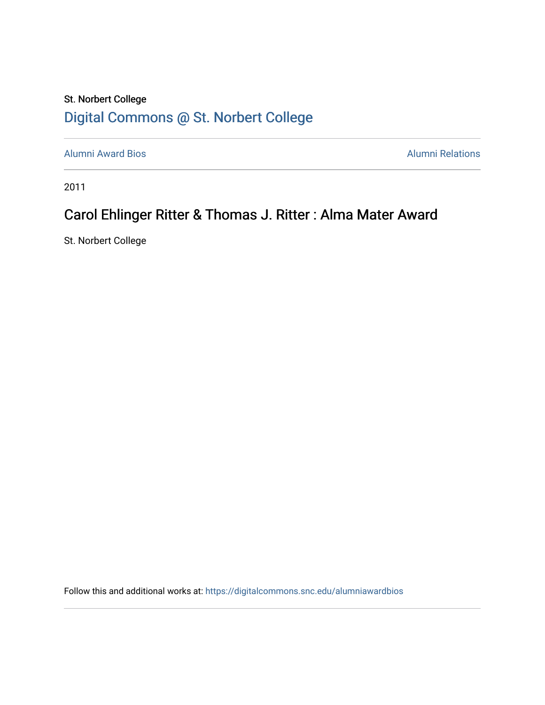## St. Norbert College [Digital Commons @ St. Norbert College](https://digitalcommons.snc.edu/)

[Alumni Award Bios](https://digitalcommons.snc.edu/alumniawardbios) **Alumni Relations** Alumni Relations

2011

# Carol Ehlinger Ritter & Thomas J. Ritter : Alma Mater Award

St. Norbert College

Follow this and additional works at: [https://digitalcommons.snc.edu/alumniawardbios](https://digitalcommons.snc.edu/alumniawardbios?utm_source=digitalcommons.snc.edu%2Falumniawardbios%2F58&utm_medium=PDF&utm_campaign=PDFCoverPages)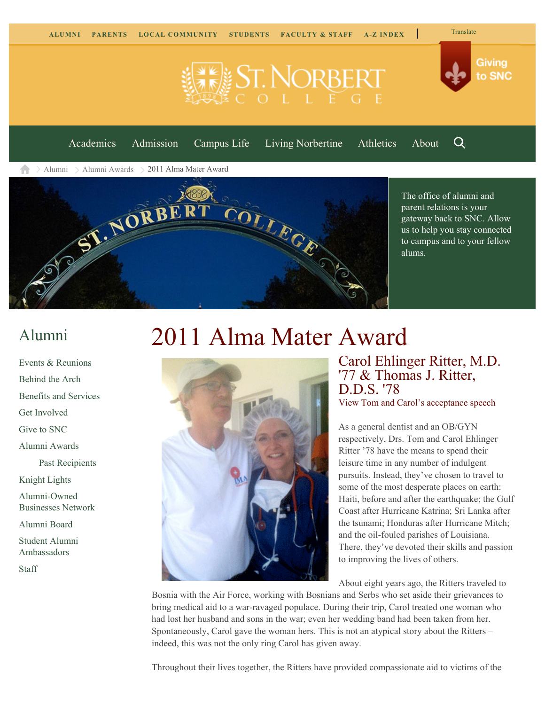

Q [Academics](https://www.snc.edu/academics) [Admission](https://www.snc.edu/admission) [Campus Life](https://www.snc.edu/campuslife) [Living Norbertine](https://www.snc.edu/livingnorbertine) [Athletics](https://www.snc.edu/athletics) [About](https://www.snc.edu/about)

**ELE ST. NORBER** 

[Alumni](https://www.snc.edu/alumni/) [Alumni Awards](https://www.snc.edu/alumni/awards/) 2011 Alma Mater Award



The office of alumni and parent relations is your gateway back to SNC. Allow us to help you stay connected to campus and to your fellow alums.

## [Alumni](https://www.snc.edu/alumni/index.html)

[Events & Reunions](https://www.snc.edu/alumni/event/index.html) [Behind the Arch](https://www.snc.edu/alumni/event/behindthearch/) [Benefits and Services](https://www.snc.edu/alumni/benefits.html) [Get Involved](https://www.snc.edu/alumni/getinvolved.html) [Give to SNC](http://giving.snc.edu/) [Alumni Awards](https://www.snc.edu/alumni/awards/index.html) [Past Recipients](https://www.snc.edu/alumni/awards/recipients.html) [Knight Lights](https://www.snc.edu/alumni/knightlights/index.html) [Alumni-Owned](https://www.snc.edu/alumni/directory/index.html) [Businesses Network](https://www.snc.edu/alumni/directory/index.html) [Alumni Board](https://www.snc.edu/alumni/alumniboard.html) [Student Alumni](https://www.snc.edu/alumni/saa.html) [Ambassadors](https://www.snc.edu/alumni/saa.html)

[Staff](https://www.snc.edu/alumni/contactus.html)

# 2011 Alma Mater Award



### Carol Ehlinger Ritter, M.D. '77 & Thomas J. Ritter, D.D.S. '78 [View Tom and Carol's acceptance speech](http://youtu.be/WGf86m8831U)

As a general dentist and an OB/GYN respectively, Drs. Tom and Carol Ehlinger Ritter '78 have the means to spend their leisure time in any number of indulgent pursuits. Instead, they've chosen to travel to some of the most desperate places on earth: Haiti, before and after the earthquake; the Gulf Coast after Hurricane Katrina; Sri Lanka after the tsunami; Honduras after Hurricane Mitch; and the oil-fouled parishes of Louisiana. There, they've devoted their skills and passion to improving the lives of others.

About eight years ago, the Ritters traveled to

Bosnia with the Air Force, working with Bosnians and Serbs who set aside their grievances to bring medical aid to a war-ravaged populace. During their trip, Carol treated one woman who had lost her husband and sons in the war; even her wedding band had been taken from her. Spontaneously, Carol gave the woman hers. This is not an atypical story about the Ritters – indeed, this was not the only ring Carol has given away.

Throughout their lives together, the Ritters have provided compassionate aid to victims of the